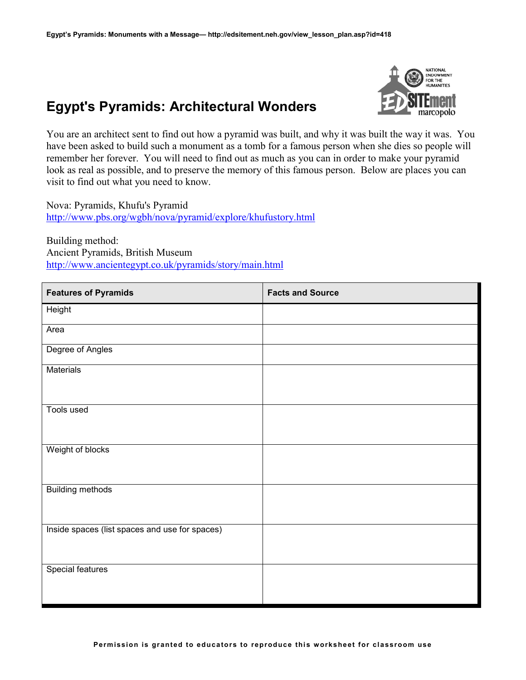## **Egypt's Pyramids: Architectural Wonders**



You are an architect sent to find out how a pyramid was built, and why it was built the way it was. You have been asked to build such a monument as a tomb for a famous person when she dies so people will remember her forever. You will need to find out as much as you can in order to make your pyramid look as real as possible, and to preserve the memory of this famous person. Below are places you can visit to find out what you need to know.

Nova: Pyramids, Khufu's Pyramid <http://www.pbs.org/wgbh/nova/pyramid/explore/khufustory.html>

Building method: Ancient Pyramids, British Museum <http://www.ancientegypt.co.uk/pyramids/story/main.html>

| <b>Features of Pyramids</b>                    | <b>Facts and Source</b> |
|------------------------------------------------|-------------------------|
| Height                                         |                         |
| Area                                           |                         |
| Degree of Angles                               |                         |
| <b>Materials</b>                               |                         |
| Tools used                                     |                         |
| Weight of blocks                               |                         |
| <b>Building methods</b>                        |                         |
| Inside spaces (list spaces and use for spaces) |                         |
| <b>Special features</b>                        |                         |